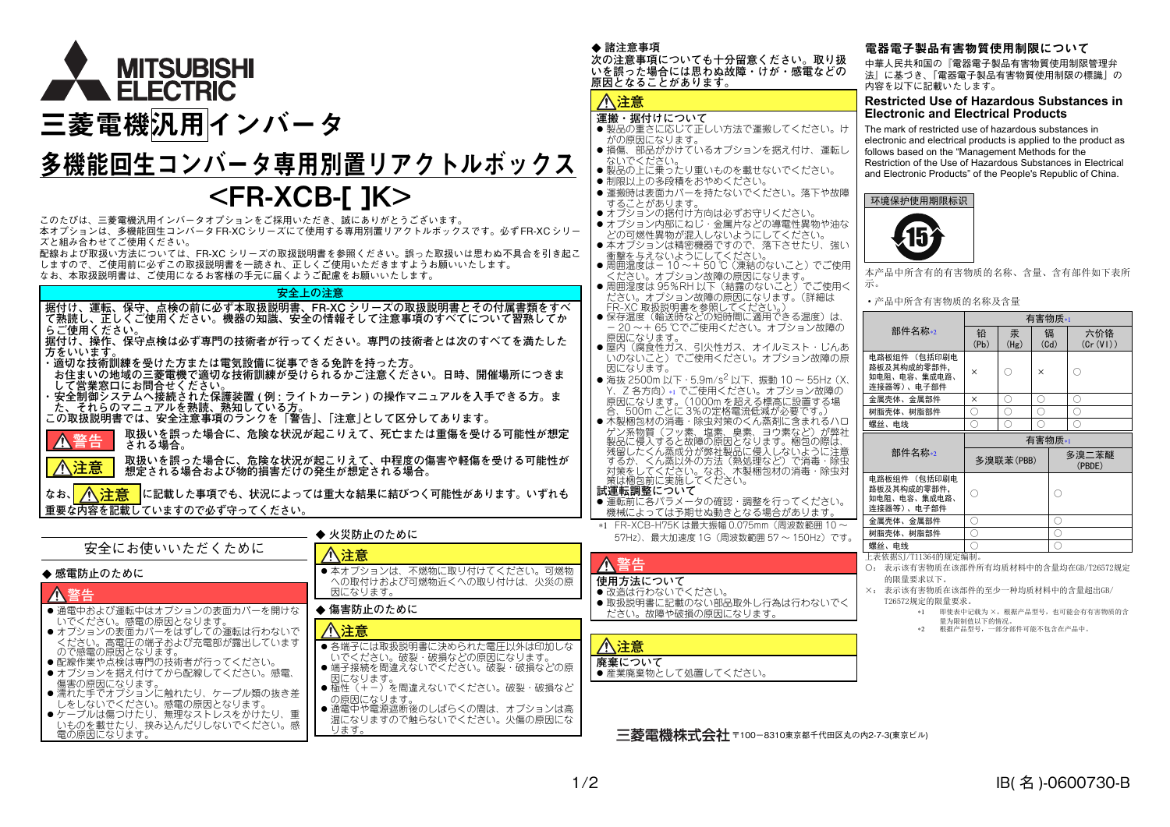

# 多機能回生コンバータ専用別置リアクトルボックス

# <FR-XCB-[ ]K>

このたびは、三菱電機汎用インバータオプションをご採用いただき、誠にありがとうございます。 本オプションは、多機能回生コンバータFR-XCシリーズにて使用する専用別置リアクトルボックスです。必ずFR-XCシリーズと組み合わせてご使用ください。

 配線および取扱い方法については、FR-XC シリーズの取扱説明書を参照ください。誤った取扱いは思わぬ不具合を引き起こ しますので、ご使用前に必ずこの取扱説明書を一読され、正しくご使用いただきますようお願いいたします。

なお、本取扱説明書は、ご使用になるお客様の手元に届くようご配慮をお願いいたします。

#### **安全上の注意**

**据付け、運転、保守、点検の前に必ず本取扱説明書、FR-XC シリーズの取扱説明書とその付属書類をすべ て熟読し、正しくご使用ください。機器の知識、安全の情報そして注意事項のすべてについて習熟してか らご使用ください。**

 **据付け、操作、保守点検は必ず専門の技術者が行ってください。専門の技術者とは次のすべてを満たした方をいいます。**

**・適切な技術訓練を受けた方または電気設備に従事できる免許を持った方。**

**お住まいの地域の三菱電機で適切な技術訓練が受けられるかご注意ください。日時、開催場所につきま**

**して営業窓口にお問合せください。 ・ 安全制御システムへ接続された保護装置 ( <sup>例</sup> : ライトカーテン ) の操作マニュアルを入手できる方。ま た、それらのマニュアルを熟読、熟知している方。**

**この取扱説明書では、安全注意事項のランクを「警告」、「注意」として区分してあります。**



**取扱いを誤った場合に、危険な状況が起こりえて、死亡または重傷を受ける可能性が想定される場合。取扱いを誤った場合に、危険な状況が起こりえて、中程度の傷害や軽傷を受ける可能性が**

**想定される場合および物的損害だけの発生が想定される場合。**

なお、<mark>/へ、注意 </mark>に記載した事項でも、状況によっては重大な結果に結びつく可能性があります。いずれも **重要な内容を記載していますので必ず守ってください。**

|                                                          | ◆ 火災防止のために                                             | $57Hz$ ),        |
|----------------------------------------------------------|--------------------------------------------------------|------------------|
| 安全にお使いいただくために                                            | 八注意                                                    |                  |
| ◆ 感雷防止のために                                               | ●本オプションは、不燃物に取り付けてください。可燃物                             | ▲警告<br>使用方法に     |
| ▲警告                                                      | への取付けおよび可燃物近くへの取り付けは、火災の原<br>因になります。                   | ●改造は行た           |
| ● 通電中および運転中はオプションの表面カバーを開けな                              | ◆ 傷害防止のために                                             | ● 取扱説明書<br>ださい。故 |
| いでください。感電の原因となります。<br>● オプションの表面カバーをはずしての運転は行わないで        | 八注意                                                    |                  |
| ください。高電圧の端子および充電部が露出しています<br>ので感雷の原因となります。               | ● 各端子には取扱説明書に決められた雷圧以外は印加しな<br>いでください。破裂・破損などの原因になります。 | 八注意              |
| ● 配線作業や点検は専門の技術者が行ってください。<br>● オプションを据え付けてから配線してください。感電、 | ●端子接続を間違えないでください。破裂・破損などの原<br>因になります。                  | 廃棄につい<br>● 産業廃棄物 |
| 傷害の原因になります。<br>● 濡れた手でオプションに触れたり、ケーブル類の抜き差               | ● 極性(+-)を間違えないでください。破裂・破損など                            |                  |
| しをしないでください。感電の原因となります。<br>●ケーブルは傷つけたり、無理なストレスをかけたり、<br>重 | の原因になります。<br>● 通電中や電源遮断後のしばらくの間は、オプションは高               |                  |
| いものを載せたり、挟み込んだりしないでください。感<br>雷の原因になります。                  | 温になりますので触らないでください。火傷の原因にな<br>ります。                      | 二芜目              |

#### ◆ 諸注意事項

 **次の注意事項についても十分留意ください。取り扱 いを誤った場合には思わぬ故障・けが・感電などの原因となることがあります。**

### **注意**

#### **運搬・据付けについて**

- ●製品の重さに応じて正しい方法で運搬してください。け がの原因になります。
- 損傷、部品がかけているオプションを据え付け、運転し ないでください。
- 製品の上に乗ったり重いものを載せないでください。
- 制限以上の多段積をおやめください。

● 運搬時は表面カバーを持たないでください。落下や故障 することがあります。

- オプションの据付け方向は必ずお守りください。 ● オプション内部にねじ・金属片などの導電性異物や油な
- どの可燃性異物が混入しないようにしてください。 本オプションは精密機器ですので、落下させたり、強い

- 衝撃を与えないようにしてください。<br>● 周囲温度は- 10 ~+ 50 ℃ (凍結のないこと) でご使用

- ください。オプション故障の原因になります。 周囲湿度は 95%RH 以下(結露のないこと)でご使用く
- ださい。オプション故障の原因になります。(詳細は FR-XC 取扱説明書を参照してください。) 保存温度(輸送時などの短時間に適用できる温度)は、 - 20 ~+ 65 ℃でご使用ください。オプション故障の 原因になります。
- 屋内(腐食性ガス、引火性ガス、オイルミスト・じんあ いのないこと)でご使用ください。オプション故障の原 因になります。

● 海抜 2500m 以下・5.9m/s<sup>2</sup> 以下、振動 10 ~ 55Hz (X、 Y、Z 各方向)[∗1](#page-0-2) でご使用ください。オプション故障の原因になります。(1000m を超える標高に設置する場 合、500m ごとに 3%の定格電流低減が必要です。) 木製梱包材の消毒・除虫対策のくん蒸剤に含まれるハロ

 ゲン系物質(フッ素、塩素、臭素、ヨウ素など)が弊社 製品に侵入すると故障の原因となります。梱包の際は、残留したくん蒸成分が弊社製品に侵入しないように注意 するか、くん蒸以外の方法(熱処理など)で消毒・除虫 対策をしてください。なお、木製梱包材の消毒・除虫対 策は梱包前に実施してください。

**試運転調整について**

- 運転前に各パラメータの確認・調整を行ってください。 機械によっては予期せぬ動きとなる場合があります。
- <span id="page-0-2"></span>∗1 FR-XCB-H75K は最大振幅 0.075mm(周波数範囲 10 <sup>~</sup> 最大加速度 1G (周波数範囲 57 ~ 150Hz) です。

ついて ● 改造は行わないでください。

● 取扱説明書に記載のない部品取外し行為は行わないでく

### [障や破損の原因になります

### **廃棄について**●産業廃棄物として処置してください。

三菱雷機株式会社 〒100-8310東京都千代田区丸の内2-7-3(東京ビル)

#### 電器電子製品有害物質使用制限について

中華人民共和国の『電器電子製品有害物質使用制限管理弁 法』に基づき、「電器電子製品有害物質使用制限の標識」の内容を以下に記載いたします。

#### **Restricted Use of Hazardous Substances in Electronic and Electrical Products**

The mark of restricted use of hazardous substances in electronic and electrical products is applied to the product as follows based on the "Management Methods for the Restriction of the Use of Hazardous Substances in Electrical and Electronic Products" of the People's Republic of China.

#### 环境保护使用期限标识



本产品中所含有的有害物质的名称、含量、含有部件如下表所示。

#### ·产品中所含有害物质的名称及含量

|                                                           | 有害物质*1                 |           |           |                 |  |
|-----------------------------------------------------------|------------------------|-----------|-----------|-----------------|--|
| 部件名称*2                                                    | 铅<br>(P <sub>b</sub> ) | 汞<br>(Hg) | 镉<br>(Cd) | 六价铬<br>(Cr(V))  |  |
| 电路板组件 (包括印刷电<br>路板及其构成的零部件,<br>如电阻、电容、集成电路、<br>连接器等)、电子部件 | ×                      | ∩         | $\times$  | C               |  |
| 金属壳体、金属部件                                                 | $\times$               | ∩         | 0         | C               |  |
| 树脂壳体、树脂部件                                                 | ◯                      | ∩         | ⌒         | ◠               |  |
| 螺丝、申线                                                     | O                      | Ç.        |           | ┌               |  |
|                                                           | 有害物质*1                 |           |           |                 |  |
| 部件名称*2                                                    |                        | 多溴联苯(PBB) |           | 多溴二苯醚<br>(PBDE) |  |
| 电路板组件 (包括印刷电<br>路板及其构成的零部件,<br>如电阻、电容、集成电路、<br>连接器等)、电子部件 |                        |           |           |                 |  |
| 金属壳体、金属部件                                                 | ∩                      |           |           | c               |  |
| 树脂壳体、树脂部件                                                 | Ō                      |           |           | n               |  |
|                                                           |                        |           |           |                 |  |
| 螺丝、申线                                                     |                        |           |           |                 |  |

- 
- ○: 表示该有害物质在该部件所有均质材料中的含量均在GB/T26572规定 的限量要求以下。
- <span id="page-0-1"></span><span id="page-0-0"></span>×: 表示该有害物质在该部件的至少一种均质材料中的含量超出GB/ T26572规定的限量要求。
	- ∗1 即使表中记载为 ×,根据产品型号,也可能会有有害物质的含 量为限制值以下的情况。
	- ∗2 根据产品型号,一部分部件可能不包含在产品中。